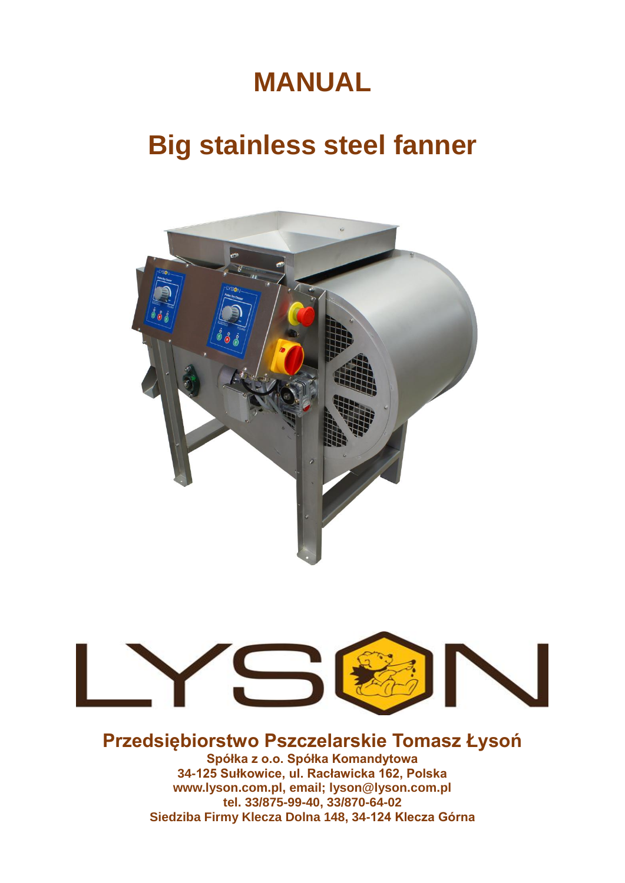# **MANUAL**

# **Big stainless steel fanner**





## **Przedsiębiorstwo Pszczelarskie Tomasz Łysoń**

**Spółka z o.o. Spółka Komandytowa 34-125 Sułkowice, ul. Racławicka 162, Polska www.lyson.com.pl, email; lyson@lyson.com.pl tel. 33/875-99-40, 33/870-64-02 Siedziba Firmy Klecza Dolna 148, 34-124 Klecza Górna**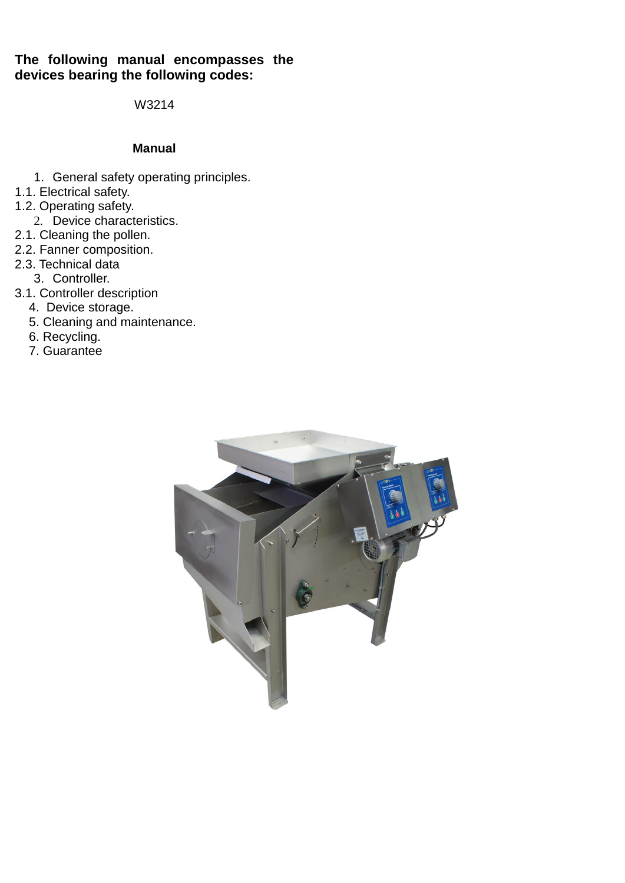### **The following manual encompasses the devices bearing the following codes:**

W3214

### **Manual**

- 1. General safety operating principles.
- 1.1. Electrical safety.
- 1.2. Operating safety.
	- 2. Device characteristics.
- 2.1. Cleaning the pollen.
- 2.2. Fanner composition.
- 2.3. Technical data
	- 3. Controller.
- 3.1. Controller description
- 4. Device storage.
- 5. Cleaning and maintenance.
- 6. Recycling.
	- 7. Guarantee

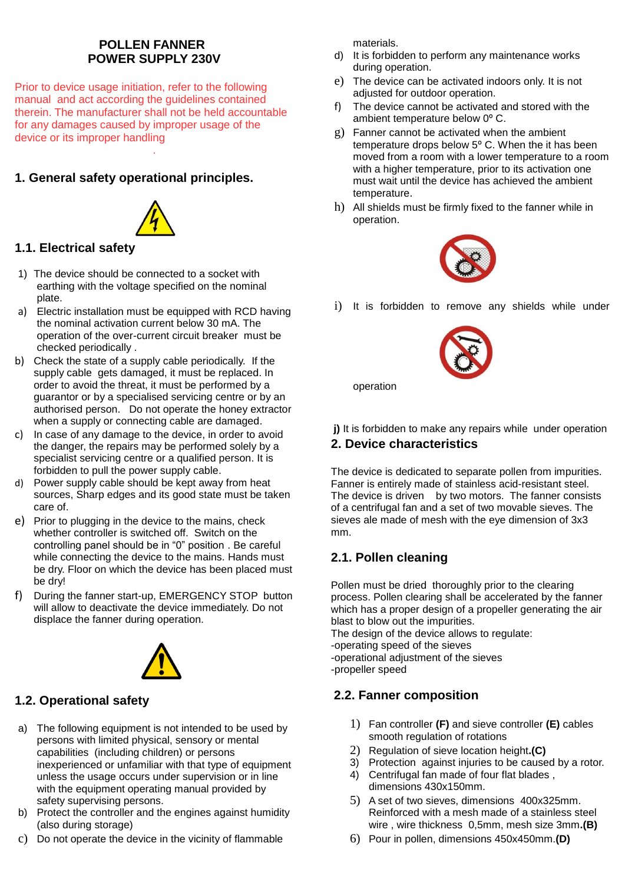### **POLLEN FANNER POWER SUPPLY 230V**

Prior to device usage initiation, refer to the following manual and act according the guidelines contained therein. The manufacturer shall not be held accountable for any damages caused by improper usage of the device or its improper handling .

### **1. General safety operational principles.**



### **1.1. Electrical safety**

- 1) The device should be connected to a socket with earthing with the voltage specified on the nominal plate.
- a) Electric installation must be equipped with RCD having the nominal activation current below 30 mA. The operation of the over-current circuit breaker must be checked periodically .
- b) Check the state of a supply cable periodically. If the supply cable gets damaged, it must be replaced. In order to avoid the threat, it must be performed by a guarantor or by a specialised servicing centre or by an authorised person. Do not operate the honey extractor when a supply or connecting cable are damaged.
- c) In case of any damage to the device, in order to avoid the danger, the repairs may be performed solely by a specialist servicing centre or a qualified person. It is forbidden to pull the power supply cable.
- d) Power supply cable should be kept away from heat sources, Sharp edges and its good state must be taken care of.
- e) Prior to plugging in the device to the mains, check whether controller is switched off. Switch on the controlling panel should be in "0" position . Be careful while connecting the device to the mains. Hands must be dry. Floor on which the device has been placed must be dry!
- f) During the fanner start-up, EMERGENCY STOP button will allow to deactivate the device immediately. Do not displace the fanner during operation.



### **1.2. Operational safety**

- a) The following equipment is not intended to be used by persons with limited physical, sensory or mental capabilities (including children) or persons inexperienced or unfamiliar with that type of equipment unless the usage occurs under supervision or in line with the equipment operating manual provided by safety supervising persons.
- b) Protect the controller and the engines against humidity (also during storage)
- c) Do not operate the device in the vicinity of flammable

materials.

- d) It is forbidden to perform any maintenance works during operation.
- e) The device can be activated indoors only. It is not adjusted for outdoor operation.
- f) The device cannot be activated and stored with the ambient temperature below 0º C.
- g) Fanner cannot be activated when the ambient temperature drops below 5º C. When the it has been moved from a room with a lower temperature to a room with a higher temperature, prior to its activation one must wait until the device has achieved the ambient temperature.
- h) All shields must be firmly fixed to the fanner while in operation.



i) It is forbidden to remove any shields while under



operation

**j)** It is forbidden to make any repairs while under operation **2. Device characteristics**

The device is dedicated to separate pollen from impurities. Fanner is entirely made of stainless acid-resistant steel. The device is driven by two motors. The fanner consists of a centrifugal fan and a set of two movable sieves. The sieves ale made of mesh with the eye dimension of 3x3 mm.

### **2.1. Pollen cleaning**

Pollen must be dried thoroughly prior to the clearing process. Pollen clearing shall be accelerated by the fanner which has a proper design of a propeller generating the air blast to blow out the impurities. The design of the device allows to regulate: -operating speed of the sieves -operational adjustment of the sieves

-propeller speed

### **2.2. Fanner composition**

- 1) Fan controller **(F)** and sieve controller **(E)** cables smooth regulation of rotations
- 2) Regulation of sieve location height**.(C)**
- 3) Protection against injuries to be caused by a rotor.
- 4) Centrifugal fan made of four flat blades , dimensions 430x150mm.
- 5) A set of two sieves, dimensions 400x325mm. Reinforced with a mesh made of a stainless steel wire , wire thickness 0,5mm, mesh size 3mm**.(B)**
- 6) Pour in pollen, dimensions 450x450mm.**(D)**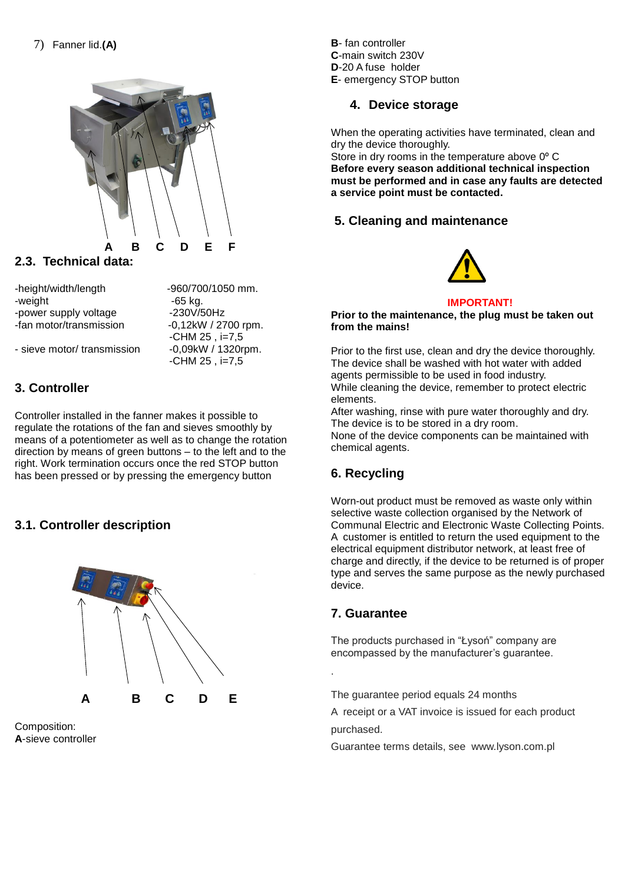

### **2.3. Technical data:**

-height/width/length -960/700/1050 mm. -weight - weight -  $65$  kg. -power supply voltage -230V/50Hz

-fan motor/transmission -0,12kW / 2700 rpm. -CHM 25 , i=7,5 - sieve motor/ transmission -0,09kW / 1320rpm. -CHM 25 , i=7,5

**3. Controller**

Controller installed in the fanner makes it possible to regulate the rotations of the fan and sieves smoothly by means of a potentiometer as well as to change the rotation direction by means of green buttons – to the left and to the right. Work termination occurs once the red STOP button has been pressed or by pressing the emergency button

### **3.1. Controller description**



Composition: **A**-sieve controller **B**- fan controller **C**-main switch 230V **D**-20 A fuse holder **E**- emergency STOP button

### **4. Device storage**

When the operating activities have terminated, clean and dry the device thoroughly.

Store in dry rooms in the temperature above 0° C **Before every season additional technical inspection must be performed and in case any faults are detected a service point must be contacted.**

### **5. Cleaning and maintenance**



#### **IMPORTANT!**

**Prior to the maintenance, the plug must be taken out from the mains!**

Prior to the first use, clean and dry the device thoroughly. The device shall be washed with hot water with added agents permissible to be used in food industry. While cleaning the device, remember to protect electric elements.

After washing, rinse with pure water thoroughly and dry. The device is to be stored in a dry room.

None of the device components can be maintained with chemical agents.

### **6. Recycling**

Worn-out product must be removed as waste only within selective waste collection organised by the Network of Communal Electric and Electronic Waste Collecting Points. A customer is entitled to return the used equipment to the electrical equipment distributor network, at least free of charge and directly, if the device to be returned is of proper type and serves the same purpose as the newly purchased device.

### **7. Guarantee**

.

The products purchased in "Łysoń" company are encompassed by the manufacturer's guarantee.

The guarantee period equals 24 months

A receipt or a VAT invoice is issued for each product purchased.

Guarantee terms details, see www.lyson.com.pl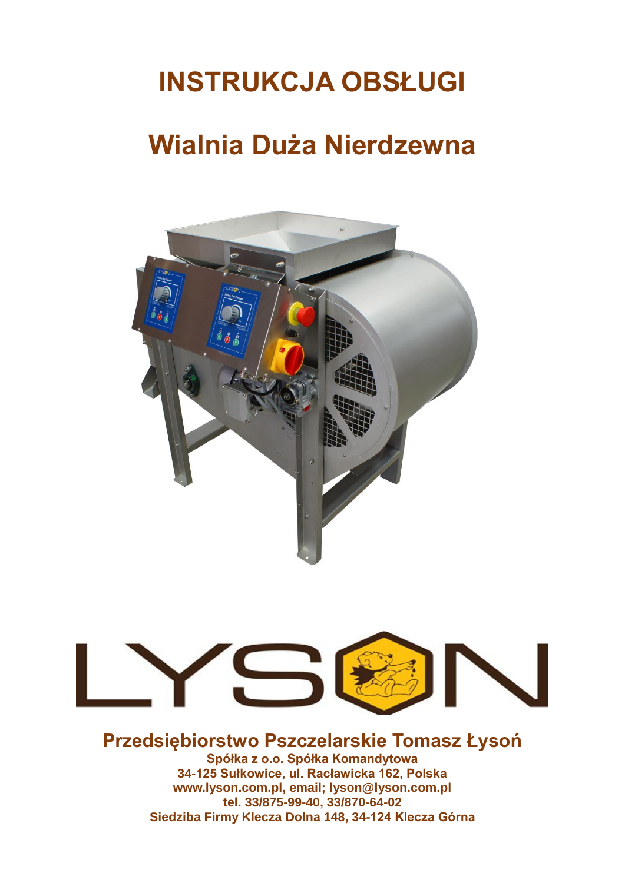# **INSTRUKCJA OBSŁUGI**

## **Wialnia Duża Nierdzewna**





## **Przedsiębiorstwo Pszczelarskie Tomasz Łysoń**

**Spółka z o.o. Spółka Komandytowa 34-125 Sułkowice, ul. Racławicka 162, Polska www.lyson.com.pl, email; lyson@lyson.com.pl tel. 33/875-99-40, 33/870-64-02 Siedziba Firmy Klecza Dolna 148, 34-124 Klecza Górna**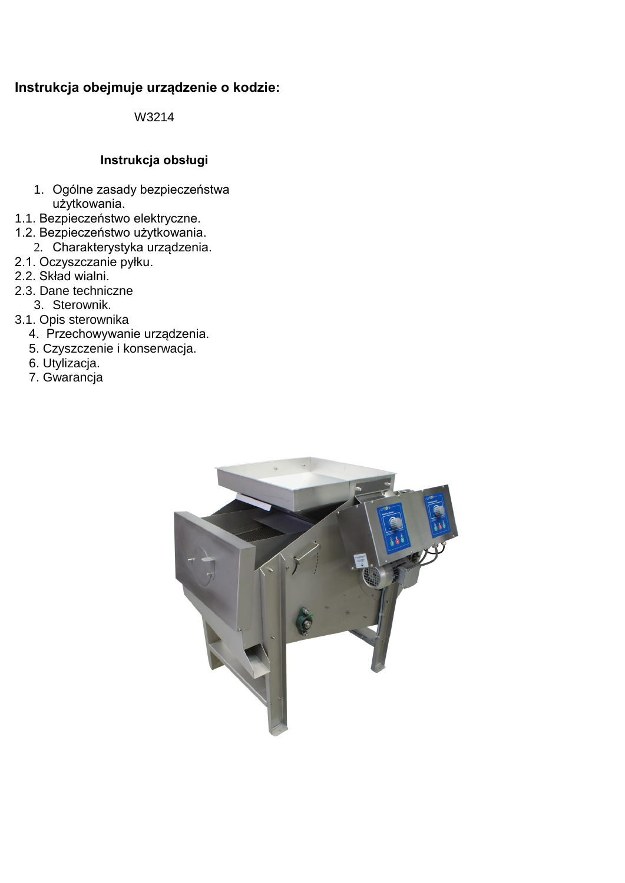### **Instrukcja obejmuje urządzenie o kodzie:**

W3214

### **Instrukcja obsługi**

- 1. Ogólne zasady bezpieczeństwa użytkowania.
- 1.1. Bezpieczeństwo elektryczne.
- 1.2. Bezpieczeństwo użytkowania.
	- 2. Charakterystyka urządzenia.
- 2.1. Oczyszczanie pyłku.
- 2.2. Skład wialni.
- 2.3. Dane techniczne
	- 3. Sterownik.
- 3.1. Opis sterownika
- 4. Przechowywanie urządzenia.
- 5. Czyszczenie i konserwacja.
- 6. Utylizacja.
	- 7. Gwarancja

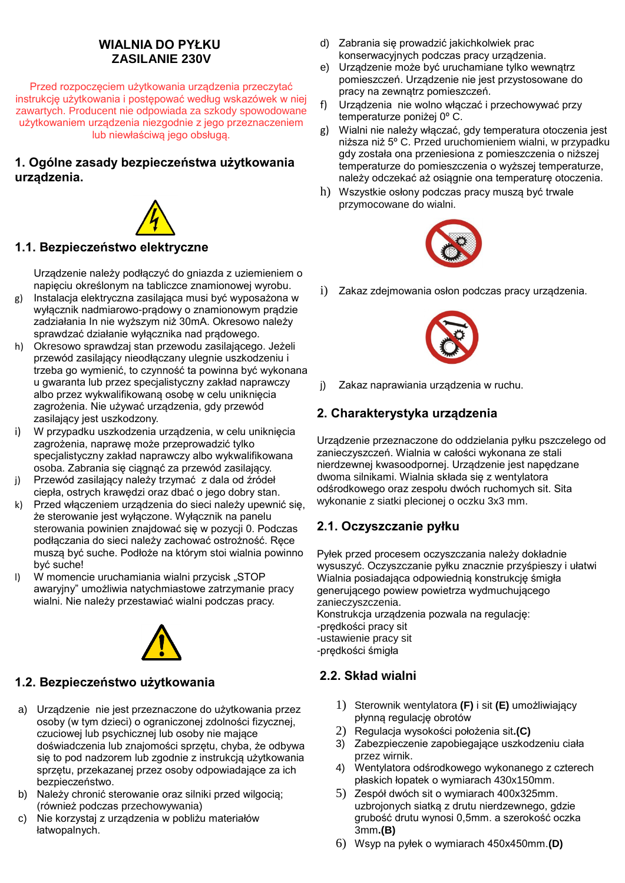### **WIALNIA DO PYŁKU ZASILANIE 230V**

Przed rozpoczęciem użytkowania urządzenia przeczytać instrukcję użytkowania i postępować według wskazówek w niej zawartych. Producent nie odpowiada za szkody spowodowane użytkowaniem urządzenia niezgodnie z jego przeznaczeniem lub niewłaściwą jego obsługą.

### **1. Ogólne zasady bezpieczeństwa użytkowania urządzenia.**



### **1.1. Bezpieczeństwo elektryczne**

Urządzenie należy podłączyć do gniazda z uziemieniem o napięciu określonym na tabliczce znamionowej wyrobu.

- g) Instalacja elektryczna zasilająca musi być wyposażona w wyłącznik nadmiarowo-prądowy o znamionowym prądzie zadziałania In nie wyższym niż 30mA. Okresowo należy sprawdzać działanie wyłącznika nad prądowego.
- h) Okresowo sprawdzaj stan przewodu zasilającego. Jeżeli przewód zasilający nieodłączany ulegnie uszkodzeniu i trzeba go wymienić, to czynność ta powinna być wykonana u gwaranta lub przez specjalistyczny zakład naprawczy albo przez wykwalifikowaną osobę w celu uniknięcia zagrożenia. Nie używać urządzenia, gdy przewód zasilający jest uszkodzony.
- i) W przypadku uszkodzenia urządzenia, w celu uniknięcia zagrożenia, naprawę może przeprowadzić tylko specjalistyczny zakład naprawczy albo wykwalifikowana osoba. Zabrania się ciągnąć za przewód zasilający.
- j) Przewód zasilający należy trzymać z dala od źródeł ciepła, ostrych krawędzi oraz dbać o jego dobry stan.
- k) Przed włączeniem urządzenia do sieci należy upewnić się, że sterowanie jest wyłączone. Wyłącznik na panelu sterowania powinien znajdować się w pozycji 0. Podczas podłączania do sieci należy zachować ostrożność. Ręce muszą być suche. Podłoże na którym stoi wialnia powinno być suche!
- I) W momencie uruchamiania wialni przycisk "STOP awaryjny" umożliwia natychmiastowe zatrzymanie pracy wialni. Nie należy przestawiać wialni podczas pracy.



### **1.2. Bezpieczeństwo użytkowania**

- a) Urządzenie nie jest przeznaczone do użytkowania przez osoby (w tym dzieci) o ograniczonej zdolności fizycznej, czuciowej lub psychicznej lub osoby nie mające doświadczenia lub znajomości sprzętu, chyba, że odbywa się to pod nadzorem lub zgodnie z instrukcją użytkowania sprzętu, przekazanej przez osoby odpowiadające za ich bezpieczeństwo.
- b) Należy chronić sterowanie oraz silniki przed wilgocią; (również podczas przechowywania)
- c) Nie korzystaj z urządzenia w pobliżu materiałów łatwopalnych.
- d) Zabrania się prowadzić jakichkolwiek prac konserwacyjnych podczas pracy urządzenia.
- e) Urządzenie może być uruchamiane tylko wewnątrz pomieszczeń. Urządzenie nie jest przystosowane do pracy na zewnątrz pomieszczeń.
- f) Urządzenia nie wolno włączać i przechowywać przy temperaturze poniżej 0º C.
- g) Wialni nie należy włączać, gdy temperatura otoczenia jest niższa niż 5º C. Przed uruchomieniem wialni, w przypadku gdy została ona przeniesiona z pomieszczenia o niższej temperaturze do pomieszczenia o wyższej temperaturze, należy odczekać aż osiągnie ona temperaturę otoczenia.
- h) Wszystkie osłony podczas pracy muszą być trwale przymocowane do wialni.



i) Zakaz zdejmowania osłon podczas pracy urządzenia.



j) Zakaz naprawiania urządzenia w ruchu.

### **2. Charakterystyka urządzenia**

Urządzenie przeznaczone do oddzielania pyłku pszczelego od zanieczyszczeń. Wialnia w całości wykonana ze stali nierdzewnej kwasoodpornej. Urządzenie jest napędzane dwoma silnikami. Wialnia składa się z wentylatora odśrodkowego oraz zespołu dwóch ruchomych sit. Sita wykonanie z siatki plecionej o oczku 3x3 mm.

### **2.1. Oczyszczanie pyłku**

Pyłek przed procesem oczyszczania należy dokładnie wysuszyć. Oczyszczanie pyłku znacznie przyśpieszy i ułatwi Wialnia posiadająca odpowiednią konstrukcję śmigła generującego powiew powietrza wydmuchującego zanieczyszczenia. Konstrukcja urządzenia pozwala na regulację: -prędkości pracy sit -ustawienie pracy sit -prędkości śmigła

### **2.2. Skład wialni**

- 1) Sterownik wentylatora **(F)** i sit **(E)** umożliwiający płynną regulację obrotów
- 2) Regulacja wysokości położenia sit**.(C)**
- 3) Zabezpieczenie zapobiegające uszkodzeniu ciała przez wirnik.
- 4) Wentylatora odśrodkowego wykonanego z czterech płaskich łopatek o wymiarach 430x150mm.
- 5) Zespół dwóch sit o wymiarach 400x325mm. uzbrojonych siatką z drutu nierdzewnego, gdzie grubość drutu wynosi 0,5mm. a szerokość oczka 3mm**.(B)**
- 6) Wsyp na pyłek o wymiarach 450x450mm.**(D)**